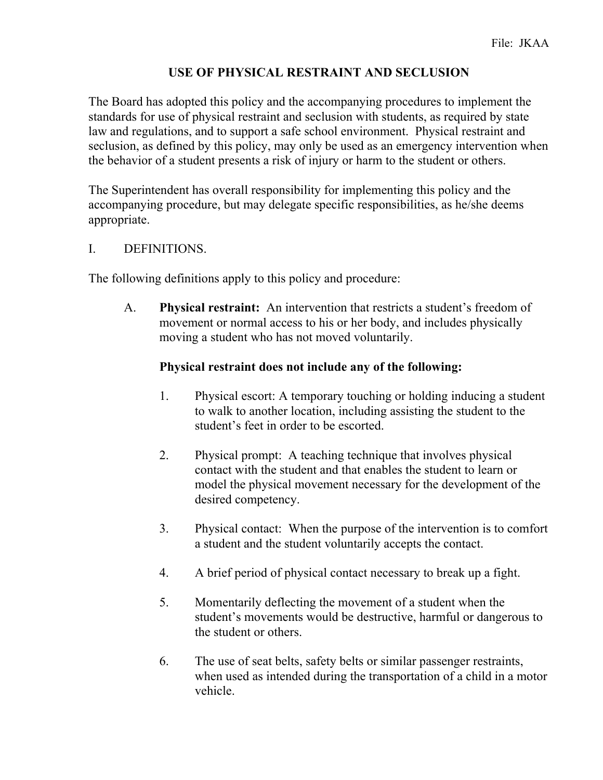# **USE OF PHYSICAL RESTRAINT AND SECLUSION**

The Board has adopted this policy and the accompanying procedures to implement the standards for use of physical restraint and seclusion with students, as required by state law and regulations, and to support a safe school environment. Physical restraint and seclusion, as defined by this policy, may only be used as an emergency intervention when the behavior of a student presents a risk of injury or harm to the student or others.

The Superintendent has overall responsibility for implementing this policy and the accompanying procedure, but may delegate specific responsibilities, as he/she deems appropriate.

## I. DEFINITIONS.

The following definitions apply to this policy and procedure:

A. **Physical restraint:** An intervention that restricts a student's freedom of movement or normal access to his or her body, and includes physically moving a student who has not moved voluntarily.

## **Physical restraint does not include any of the following:**

- 1. Physical escort: A temporary touching or holding inducing a student to walk to another location, including assisting the student to the student's feet in order to be escorted.
- 2. Physical prompt: A teaching technique that involves physical contact with the student and that enables the student to learn or model the physical movement necessary for the development of the desired competency.
- 3. Physical contact: When the purpose of the intervention is to comfort a student and the student voluntarily accepts the contact.
- 4. A brief period of physical contact necessary to break up a fight.
- 5. Momentarily deflecting the movement of a student when the student's movements would be destructive, harmful or dangerous to the student or others.
- 6. The use of seat belts, safety belts or similar passenger restraints, when used as intended during the transportation of a child in a motor vehicle.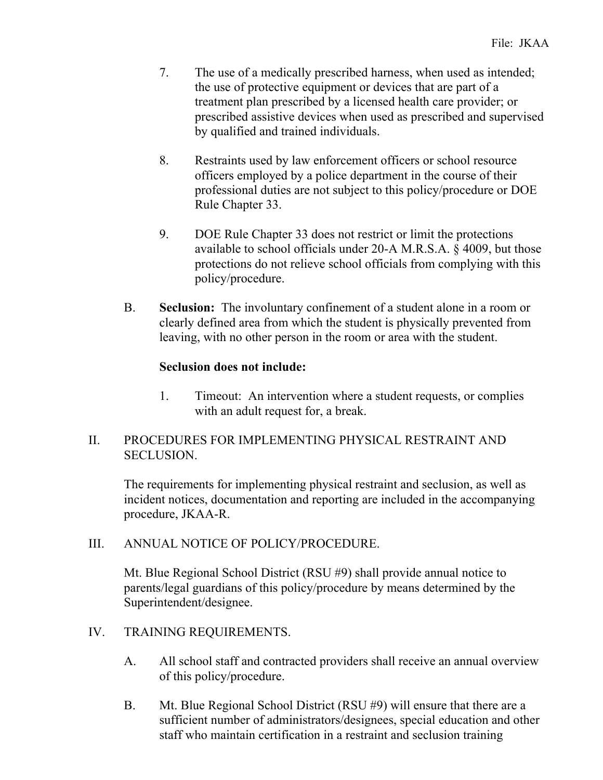- 7. The use of a medically prescribed harness, when used as intended; the use of protective equipment or devices that are part of a treatment plan prescribed by a licensed health care provider; or prescribed assistive devices when used as prescribed and supervised by qualified and trained individuals.
- 8. Restraints used by law enforcement officers or school resource officers employed by a police department in the course of their professional duties are not subject to this policy/procedure or DOE Rule Chapter 33.
- 9. DOE Rule Chapter 33 does not restrict or limit the protections available to school officials under 20-A M.R.S.A. § 4009, but those protections do not relieve school officials from complying with this policy/procedure.
- B. **Seclusion:** The involuntary confinement of a student alone in a room or clearly defined area from which the student is physically prevented from leaving, with no other person in the room or area with the student.

# **Seclusion does not include:**

1. Timeout: An intervention where a student requests, or complies with an adult request for, a break.

# II. PROCEDURES FOR IMPLEMENTING PHYSICAL RESTRAINT AND SECLUSION.

The requirements for implementing physical restraint and seclusion, as well as incident notices, documentation and reporting are included in the accompanying procedure, JKAA-R.

#### III. ANNUAL NOTICE OF POLICY/PROCEDURE.

Mt. Blue Regional School District (RSU #9) shall provide annual notice to parents/legal guardians of this policy/procedure by means determined by the Superintendent/designee.

# IV. TRAINING REQUIREMENTS.

- A. All school staff and contracted providers shall receive an annual overview of this policy/procedure.
- B. Mt. Blue Regional School District (RSU #9) will ensure that there are a sufficient number of administrators/designees, special education and other staff who maintain certification in a restraint and seclusion training